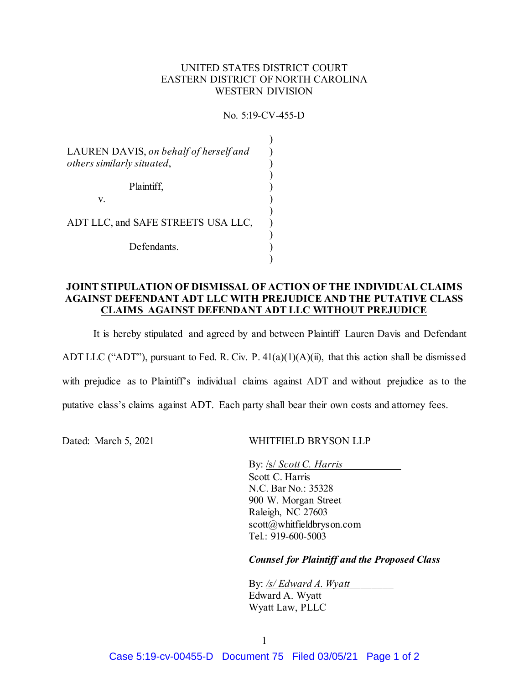## UNITED STATES DISTRICT COURT EASTERN DISTRICT OF NORTH CAROLINA WESTERN DIVISION

No. 5:19-CV-455-D

| LAUREN DAVIS, on behalf of herself and<br>others similarly situated, |  |
|----------------------------------------------------------------------|--|
| Plaintiff,<br>V.                                                     |  |
| ADT LLC, and SAFE STREETS USA LLC,                                   |  |
| Defendants.                                                          |  |

## **JOINT STIPULATION OF DISMISSAL OF ACTION OF THE INDIVIDUAL CLAIMS AGAINST DEFENDANT ADT LLC WITH PREJUDICE AND THE PUTATIVE CLASS CLAIMS AGAINST DEFENDANT ADT LLC WITHOUT PREJUDICE**

It is hereby stipulated and agreed by and between Plaintiff Lauren Davis and Defendant

ADT LLC ("ADT"), pursuant to Fed. R. Civ. P. 41(a)(1)(A)(ii), that this action shall be dismissed

with prejudice as to Plaintiff's individual claims against ADT and without prejudice as to the

putative class's claims against ADT. Each party shall bear their own costs and attorney fees.

Dated: March 5, 2021 WHITFIELD BRYSON LLP

By: <u>/s/ *Scott C. Harris*</u> Scott C. Harris N.C. Bar No.: 35328 900 W. Morgan Street Raleigh, NC 27603 scott@whitfieldbryson.com Tel.: 919-600-5003

*Counsel for Plaintiff and the Proposed Class*

By: */s/ Edward A. Wyatt\_\_\_\_\_\_\_\_* Edward A. Wyatt Wyatt Law, PLLC